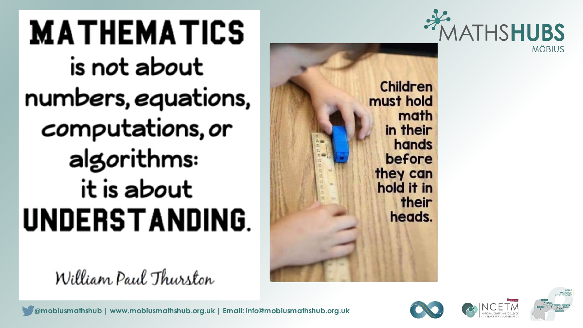

must hold

**MATHEMATICS** is n*o*t about numbers, equations, computations, or algorithms: it is about **UNDERSTANDING.** 

William Paul Thurston



**Children** 

math

in their

before

they can

hold it in

hands

their

heads.



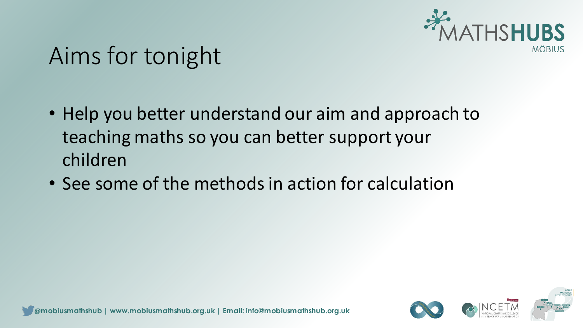

#### Aims for tonight

- Help you better understand our aim and approach to teaching maths so you can better support your children
- See some of the methods in action for calculation

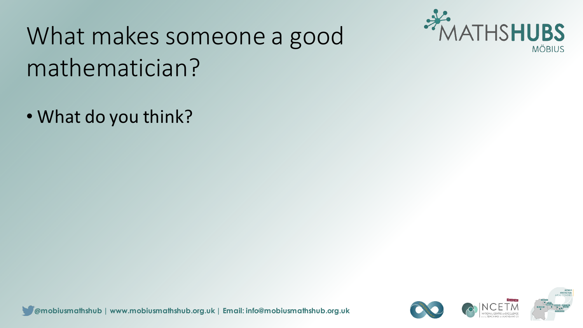

• What do you think?



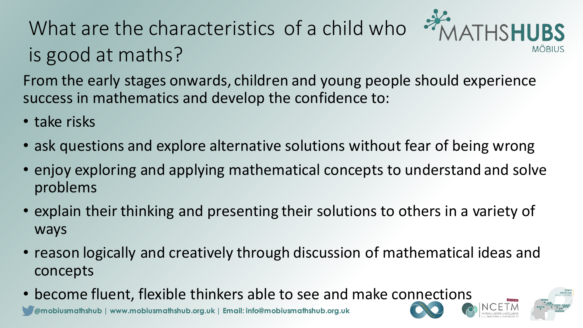#### What are the characteristics of a child who is good at maths?



From the early stages onwards, children and young people should experience success in mathematics and develop the confidence to:

- take risks
- ask questions and explore alternative solutions without fear of being wrong
- enjoy exploring and applying mathematical concepts to understand and solve problems
- explain their thinking and presenting their solutions to others in a variety of ways
- reason logically and creatively through discussion of mathematical ideas and concepts
- become fluent, flexible thinkers able to see and make connections

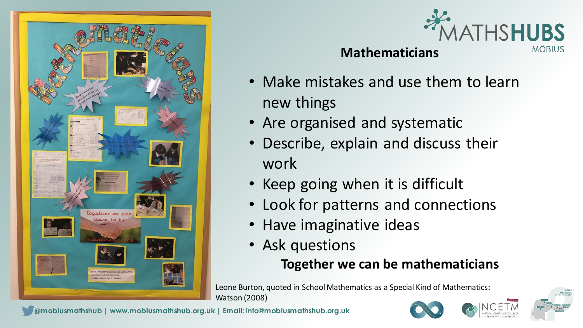



#### **Mathematicians**

- Make mistakes and use them to learn new things
- Are organised and systematic
- Describe, explain and discuss their work
- Keep going when it is difficult
- Look for patterns and connections
- Have imaginative ideas
- Ask questions

#### **Together we can be mathematicians**

Leone Burton, quoted in School Mathematics as a Special Kind of Mathematics: Watson (2008)





**@mobiusmathshub | www.mobiusmathshub.org.uk | Email: info@mobiusmathshub.org.uk**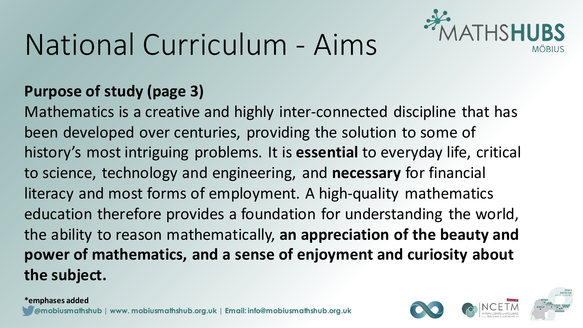# National Curriculum - Aims



#### **Purpose of study (page 3)**

Mathematics is a creative and highly inter-connected discipline that has been developed over centuries, providing the solution to some of history's most intriguing problems. It is **essential** to everyday life, critical to science, technology and engineering, and **necessary** for financial literacy and most forms of employment. A high-quality mathematics education therefore provides a foundation for understanding the world, the ability to reason mathematically, **an appreciation of the beauty and power of mathematics, and a sense of enjoyment and curiosity about the subject.**



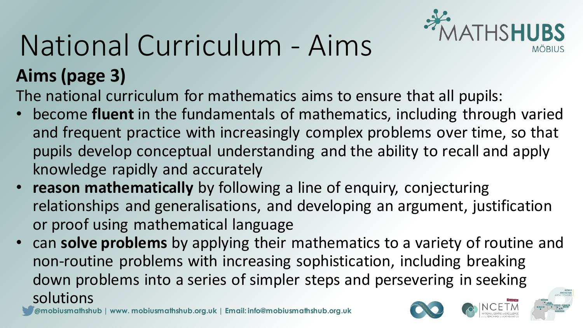# MATHSHUBS

# National Curriculum - Aims

**Aims (page 3)**

The national curriculum for mathematics aims to ensure that all pupils:

- become **fluent** in the fundamentals of mathematics, including through varied and frequent practice with increasingly complex problems over time, so that pupils develop conceptual understanding and the ability to recall and apply knowledge rapidly and accurately
- **reason mathematically** by following a line of enquiry, conjecturing relationships and generalisations, and developing an argument, justification or proof using mathematical language
- can **solve problems** by applying their mathematics to a variety of routine and non-routine problems with increasing sophistication, including breaking down problems into a series of simpler steps and persevering in seeking solutions

**@mobiusmathshub | www. mobiusmathshub.org.uk | Email: info@mobiusmathshub.org.uk**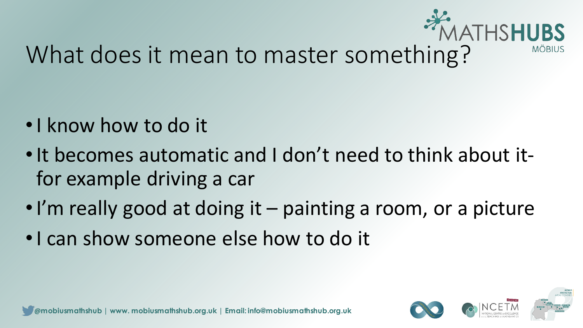

#### What does it mean to master something?

- •I know how to do it
- •It becomes automatic and I don't need to think about itfor example driving a car
- •I'm really good at doing it painting a room, or a picture
- •I can show someone else how to do it

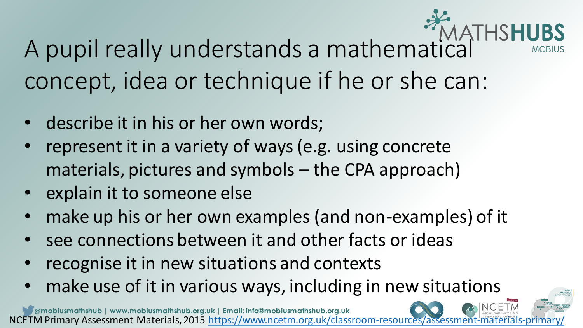A pupil really understands a mathematical concept, idea or technique if he or she can:

**VIÖBIUS** 

- describe it in his or her own words;
- represent it in a variety of ways (e.g. using concrete materials, pictures and symbols – the CPA approach)
- explain it to someone else
- make up his or her own examples (and non-examples) of it
- see connections between it and other facts or ideas
- recognise it in new situations and contexts
- make use of it in various ways, including in new situations

**@mobiusmathshub | www.mobiusmathshub.org.uk | Email: info@mobiusmathshub.org.uk** NCETM Primary Assessment Materials, 2015 https://www.ncetm.org.uk/classroom-resources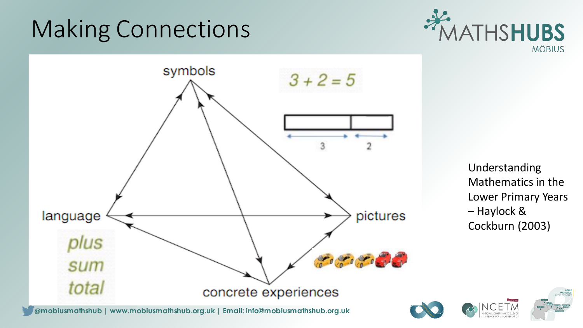## Making Connections





Understanding Mathematics in the Lower Primary Years – Haylock & Cockburn (2003)

**@mobiusmathshub | www.mobiusmathshub.org.uk | Email: info@mobiusmathshub.org.uk**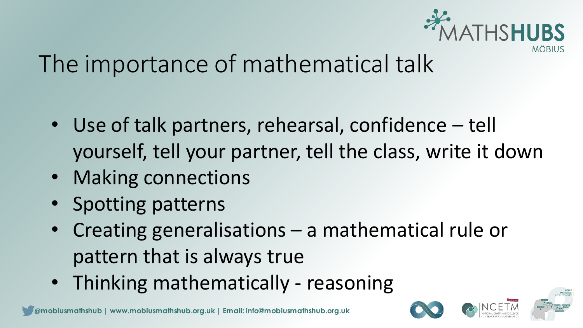

### The importance of mathematical talk

- Use of talk partners, rehearsal, confidence tell yourself, tell your partner, tell the class, write it down
- Making connections
- Spotting patterns
- Creating generalisations a mathematical rule or pattern that is always true
- Thinking mathematically reasoning

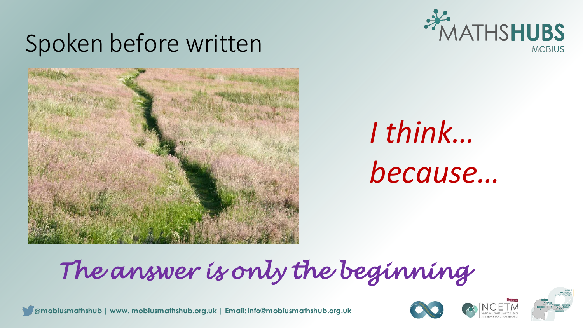### Spoken before written





# *I think… because…*

## *The answer is only the beginning*





**@mobiusmathshub | www. mobiusmathshub.org.uk | Email: info@mobiusmathshub.org.uk**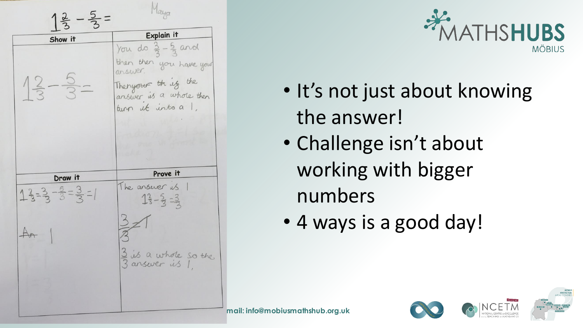$1\frac{2}{3} - \frac{5}{3} =$ Explain it Show it You do  $\frac{3}{2} - \frac{5}{2}$  and then then you have your  $12 - 5 - 5$ Thenyour thing the turn it into a 1. Prove it Draw it The answer us  $13-3-3=3=1$  $13 - 5 = 3$  $An$ 3 is a whole so the



- It's not just about knowing the answer!
- Challenge isn't about working with bigger numbers
- 4 ways is a good day!

**@mobiusmathshub | www.mobiusmathshub.org.uk | Email: info@mobiusmathshub.org.uk**

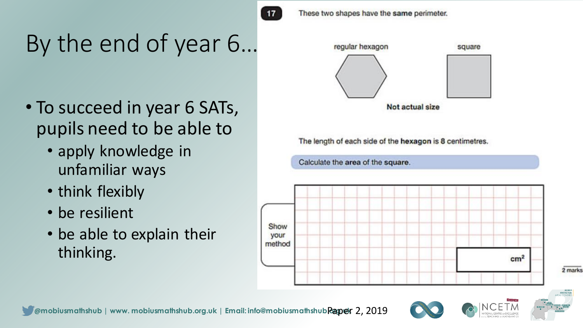

These two shapes have the same perimeter.

## By the end of year 6…

- To succeed in year 6 SATs, pupils need to be able to
	- apply knowledge in unfamiliar ways
	- think flexibly
	- be resilient
	- be able to explain their thinking.



The length of each side of the hexagon is 8 centimetres.









2 marks